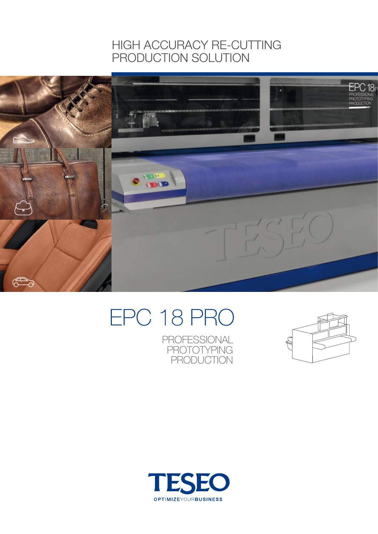### HIGH ACCURACY RE-CUTTING PRODUCTION SOLUTION



# EPC 18 PRO

PROFESSIONAL PROTOTYPING **PRODUCTION** 



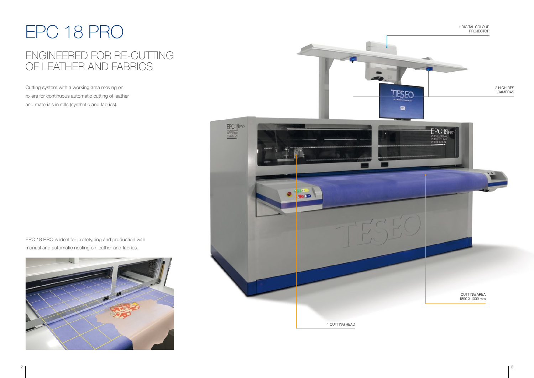Cutting system with a working area moving on rollers for continuous automatic cutting of leather and materials in rolls (synthetic and fabrics).

# EPC 18 PRO

## ENGINEERED FOR RE-CUTTING OF LEATHER AND FABRICS



EPC 18 PRO is ideal for prototyping and production with manual and automatic nesting on leather and fabrics.

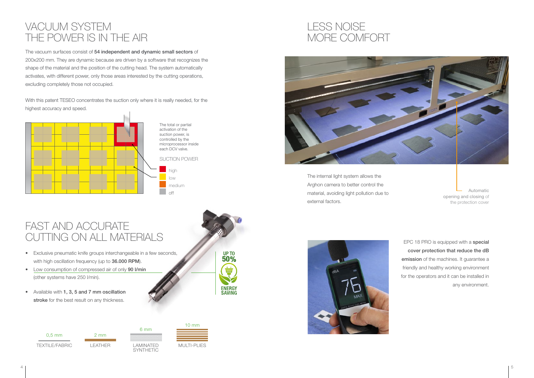## VACUUM SYSTEM THE POWER IS IN THE AIR

The vacuum surfaces consist of 54 independent and dynamic small sectors of 200x200 mm. They are dynamic because are driven by a software that recognizes the shape of the material and the position of the cutting head. The system automatically activates, with different power, only those areas interested by the cutting operations, excluding completely those not occupied.

With this patent TESEO concentrates the suction only where it is really needed, for the highest accuracy and speed.



## FAST AND ACCURATE CUTTING ON ALL MATERIALS

- Exclusive pneumatic knife groups interchangeable in a few seconds, with high oscillation frequency (up to 36.000 RPM).
- Low consumption of compressed air of only 90 I/min (other systems have 250 l/min).
- • Available with 1, 3, 5 and 7 mm oscillation stroke for the best result on any thickness.





6 mm





SYNTHETIC

MULTI-PLIES



Automatic opening and closing of the protection cover

## LESS NOISE MORE COMFORT



The internal light system allows the Arghon camera to better control the material, avoiding light pollution due to external factors.

> EPC 18 PRO is equipped with a special cover protection that reduce the dB emission of the machines. It guarantee a friendly and healthy working environment for the operators and it can be installed in any environment.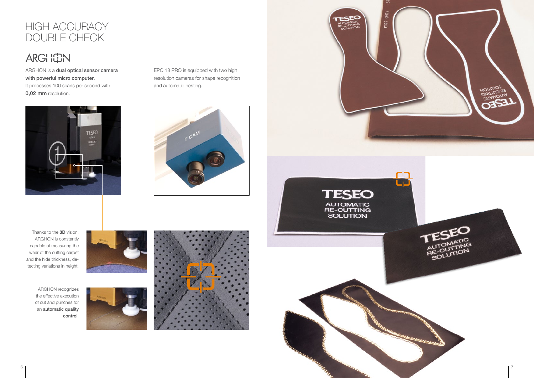## HIGH ACCURACY DOUBLE CHECK

## **ARGHEEN**

ARGHON recognizes the effective execution of cut and punches for an automatic quality control.







EPC 18 PRO is equipped with two high resolution cameras for shape recognition and automatic nesting.



ARGHON is a dual optical sensor camera with powerful micro computer. It processes 100 scans per second with 0,02 mm resolution.



Thanks to the 3D vision, ARGHON is constantly capable of measuring the wear of the cutting carpet and the hide thickness, detecting variations in height.

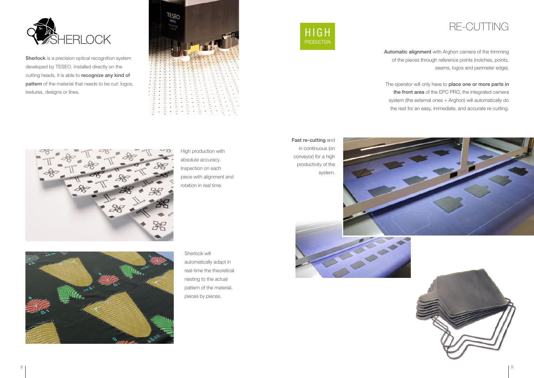## RE-CUTTING

Automatic alignment with Arghon camera of the trimming of the pieces through reference points (notches, points, seams, logos and perimeter edge).

The operator will only have to place one or more parts in the front area of the EPC PRO, the integrated camera system (the external ones + Arghon) will automatically do the rest for an easy, immediate, and accurate re-cutting.



Sherlock is a precision optical recognition system developed by TESEO. Installed directly on the cutting heads, it is able to recognize any kind of pattern of the material that needs to be cut: logos, textures, designs or lines.



Fast re-cutting and

in continuous (on conveyor) for a high productivity of the system.







Sherlock will automatically adapt in real-time the theoretical nesting to the actual pattern of the material, pieces by pieces.

High production with absolute accuracy. Inspection on each piece with alignment and rotation in real time.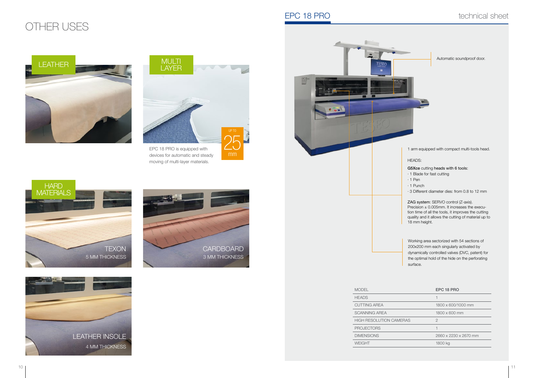devices for automatic and steady moving of multi-layer materials.

| <b>HEADS</b>                   |                       |
|--------------------------------|-----------------------|
| <b>CUTTING AREA</b>            | 1800 x 600/1000 mm    |
| <b>SCANNING AREA</b>           | 1800 x 600 mm         |
| <b>HIGH RESOLUTION CAMERAS</b> | 2                     |
| <b>PROJECTORS</b>              |                       |
| <b>DIMENSIONS</b>              | 2660 x 2230 x 2670 mm |
| WEIGHT                         | 1800 kg               |

| <b>MODEL</b>                   | <b>EPC 18</b>   |
|--------------------------------|-----------------|
| <b>HEADS</b>                   |                 |
| <b>CUTTING AREA</b>            | $1800 \times 6$ |
| <b>SCANNING AREA</b>           | $1800 \times 6$ |
| <b>HIGH RESOLUTION CAMERAS</b> | 2               |
| <b>PROJECTORS</b>              |                 |
| <b>DIMENSIONS</b>              | $2660 \times 2$ |
| <b>WEIGHT</b>                  | 1800 kg         |

1 arm equipped with compact multi-tools head.

Precision  $\pm$  0.005mm. It increases the execution time of all the tools, it improves the cutting quality and it allows the cutting of material up to 18 mm height.

#### G5Xce cutting heads with 6 tools:

- · 1 Blade for fast cutting
- 
- 
- · 3 Different diameter dies: from 0.8 to 12 mm

#### ZAG system: SERVO control (Z-axis).





Working area sectorized with 54 sections of 200x200 mm each singularly activated by dynamically controlled valves (DVC, patent) for the optimal hold of the hide on the perforating

#### EPC 18 PRO

Automatic soundproof door.

## OTHER USES









mm